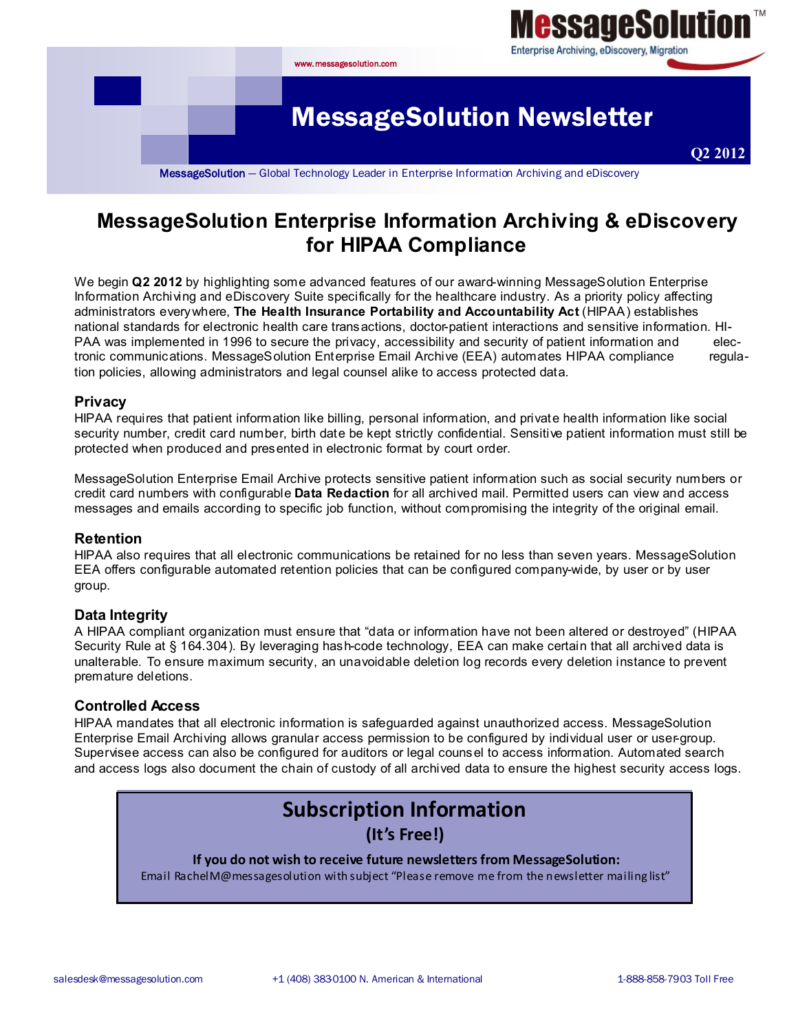

# **MessageSolution Enterprise Information Archiving & eDiscovery for HIPAA Compliance**

We begin **Q2 2012** by highlighting some advanced features of our award-winning MessageSolution Enterprise Information Archiving and eDiscovery Suite specifically for the healthcare industry. As a priority policy affecting administrators everywhere, **The Health Insurance Portability and Accountability Act** (HIPAA) establishes national standards for electronic health care transactions, doctor-patient interactions and sensitive information. HI-PAA was implemented in 1996 to secure the privacy, accessibility and security of patient information and electronic communications. MessageSolution Enterprise Email Archive (EEA) automates HIPAA compliance regulation policies, allowing administrators and legal counsel alike to access protected data.

#### **Privacy**

HIPAA requires that patient information like billing, personal information, and private health information like social security number, credit card number, birth date be kept strictly confidential. Sensitive patient information must still be protected when produced and presented in electronic format by court order.

MessageSolution Enterprise Email Archive protects sensitive patient information such as social security numbers or credit card numbers with configurable **Data Redaction** for all archived mail. Permitted users can view and access messages and emails according to specific job function, without compromising the integrity of the original email.

#### **Retention**

HIPAA also requires that all electronic communications be retained for no less than seven years. MessageSolution EEA offers configurable automated retention policies that can be configured company-wide, by user or by user group.

#### **Data Integrity**

A HIPAA compliant organization must ensure that "data or information have not been altered or destroyed" (HIPAA Security Rule at § 164.304). By leveraging hash-code technology, EEA can make certain that all archived data is unalterable. To ensure maximum security, an unavoidable deletion log records every deletion instance to prevent premature deletions.

#### **Controlled Access**

HIPAA mandates that all electronic information is safeguarded against unauthorized access. MessageSolution Enterprise Email Archiving allows granular access permission to be configured by individual user or user-group. Supervisee access can also be configured for auditors or legal counsel to access information. Automated search and access logs also document the chain of custody of all archived data to ensure the highest security access logs.

# **Subscription Information**

**(It's Free!)**

#### **If you do not wish to receive future newsletters from MessageSolution:**

Email RachelM@messagesolution with subject "Please remove me from the newsletter mailing list"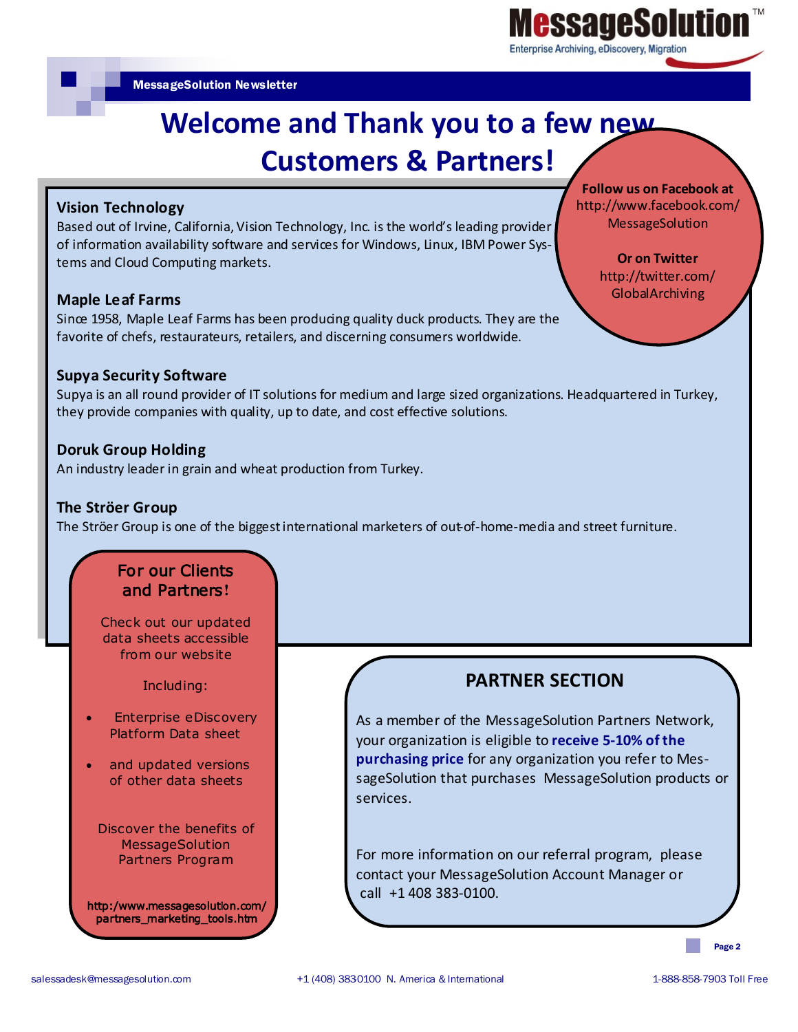

**Follow us on Facebook at** http://www.facebook.com/ MessageSolution

> **Or on Twitter**  http://twitter.com/ GlobalArchiving

MessageSolution Newsletter

# **Welcome and Thank you to a few new Customers & Partners!**

### **Vision Technology**

Based out of Irvine, California, Vision Technology, Inc. is the world's leading provider of information availability software and services for Windows, Linux, IBM Power Systems and Cloud Computing markets.

#### **Maple Leaf Farms**

Since 1958, Maple Leaf Farms has been producing quality duck products. They are the favorite of chefs, restaurateurs, retailers, and discerning consumers worldwide.

#### **Supya Security Software**

Supya is an all round provider of IT solutions for medium and large sized organizations. Headquartered in Turkey, they provide companies with quality, up to date, and cost effective solutions.

#### **Doruk Group Holding**

An industry leader in grain and wheat production from Turkey.

#### **The Ströer Group**

The Ströer Group is one of the biggest international marketers of out-of-home-media and street furniture.

## For our Clients and Partners**!**

Check out our updated data sheets accessible from our website

Including:

- Enterprise eDiscovery Platform Data sheet
- and updated versions of other data sheets

Discover the benefits of **MessageSolution** Partners Program

http:/www.messagesolution.com/ partners\_marketing\_tools.htm

**PARTNER SECTION**

As a member of the MessageSolution Partners Network, your organization is eligible to **receive 5-10% of the purchasing price** for any organization you refer to MessageSolution that purchases MessageSolution products or services.

For more information on our referral program, please contact your MessageSolution Account Manager or call +1 408 383-0100.

Page 2